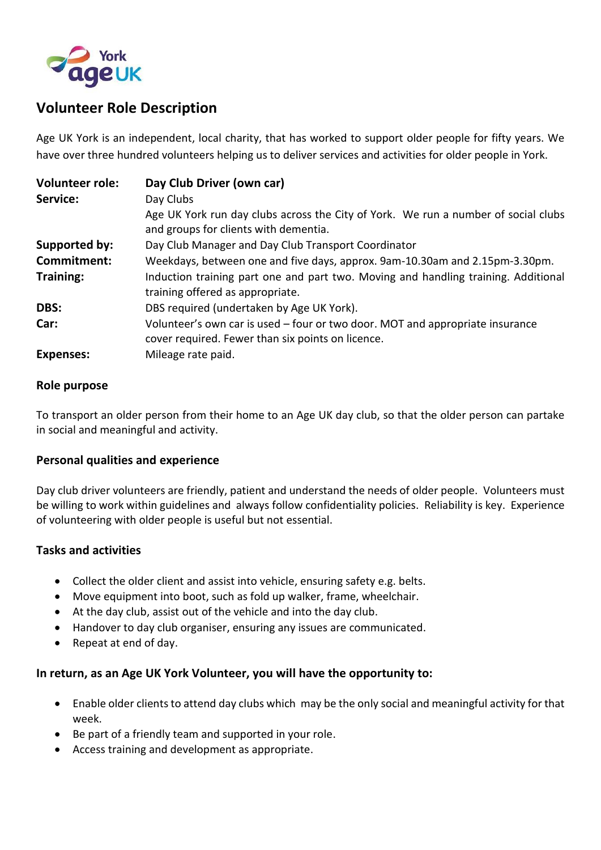

## **Volunteer Role Description**

Age UK York is an independent, local charity, that has worked to support older people for fifty years. We have over three hundred volunteers helping us to deliver services and activities for older people in York.

| <b>Volunteer role:</b> | Day Club Driver (own car)                                                                                                          |
|------------------------|------------------------------------------------------------------------------------------------------------------------------------|
| Service:               | Day Clubs                                                                                                                          |
|                        | Age UK York run day clubs across the City of York. We run a number of social clubs<br>and groups for clients with dementia.        |
| <b>Supported by:</b>   | Day Club Manager and Day Club Transport Coordinator                                                                                |
| Commitment:            | Weekdays, between one and five days, approx. 9am-10.30am and 2.15pm-3.30pm.                                                        |
| Training:              | Induction training part one and part two. Moving and handling training. Additional<br>training offered as appropriate.             |
| DBS:                   | DBS required (undertaken by Age UK York).                                                                                          |
| Car:                   | Volunteer's own car is used – four or two door. MOT and appropriate insurance<br>cover required. Fewer than six points on licence. |
| <b>Expenses:</b>       | Mileage rate paid.                                                                                                                 |

#### **Role purpose**

To transport an older person from their home to an Age UK day club, so that the older person can partake in social and meaningful and activity.

#### **Personal qualities and experience**

Day club driver volunteers are friendly, patient and understand the needs of older people. Volunteers must be willing to work within guidelines and always follow confidentiality policies. Reliability is key. Experience of volunteering with older people is useful but not essential.

#### **Tasks and activities**

- Collect the older client and assist into vehicle, ensuring safety e.g. belts.
- Move equipment into boot, such as fold up walker, frame, wheelchair.
- At the day club, assist out of the vehicle and into the day club.
- Handover to day club organiser, ensuring any issues are communicated.
- Repeat at end of day.

#### **In return, as an Age UK York Volunteer, you will have the opportunity to:**

- Enable older clients to attend day clubs which may be the only social and meaningful activity for that week.
- Be part of a friendly team and supported in your role.
- Access training and development as appropriate.